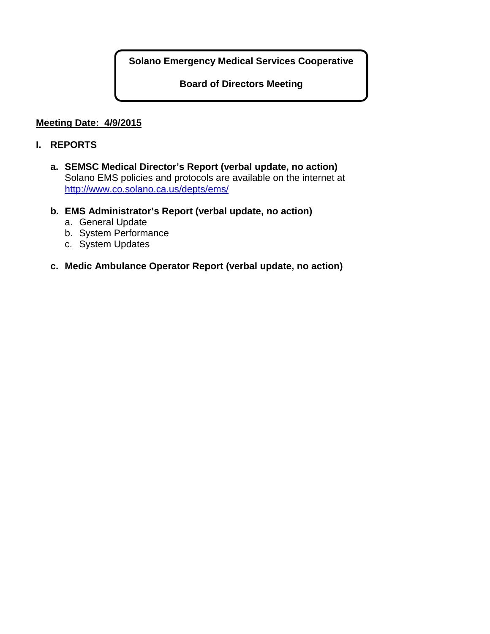**Solano Emergency Medical Services Cooperative**

**Board of Directors Meeting**

# **Meeting Date: 4/9/2015**

## **I. REPORTS**

- **a. SEMSC Medical Director's Report (verbal update, no action)** Solano EMS policies and protocols are available on the internet at <http://www.co.solano.ca.us/depts/ems/>
- **b. EMS Administrator's Report (verbal update, no action)**
	- a. General Update
	- b. System Performance
	- c. System Updates
- **c. Medic Ambulance Operator Report (verbal update, no action)**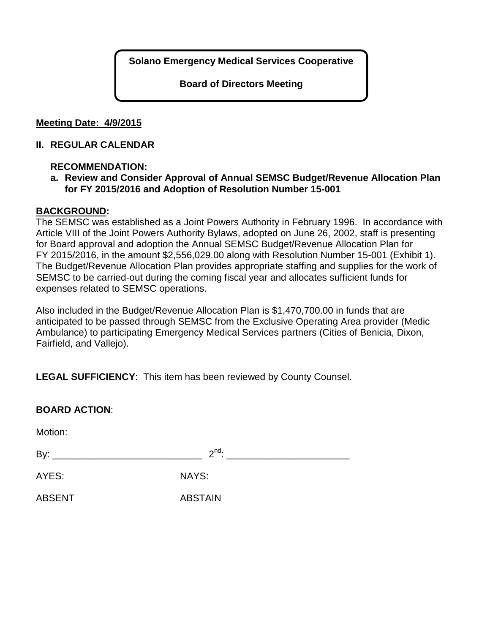**Solano Emergency Medical Services Cooperative**

**Board of Directors Meeting**

## **Meeting Date: 4/9/2015**

## **II. REGULAR CALENDAR**

# **RECOMMENDATION:**

# **a. Review and Consider Approval of Annual SEMSC Budget/Revenue Allocation Plan for FY 2015/2016 and Adoption of Resolution Number 15-001**

# **BACKGROUND:**

The SEMSC was established as a Joint Powers Authority in February 1996. In accordance with Article VIII of the Joint Powers Authority Bylaws, adopted on June 26, 2002, staff is presenting for Board approval and adoption the Annual SEMSC Budget/Revenue Allocation Plan for FY 2015/2016, in the amount \$2,556,029.00 along with Resolution Number 15-001 (Exhibit 1). The Budget/Revenue Allocation Plan provides appropriate staffing and supplies for the work of SEMSC to be carried-out during the coming fiscal year and allocates sufficient funds for expenses related to SEMSC operations.

Also included in the Budget/Revenue Allocation Plan is \$1,470,700.00 in funds that are anticipated to be passed through SEMSC from the Exclusive Operating Area provider (Medic Ambulance) to participating Emergency Medical Services partners (Cities of Benicia, Dixon, Fairfield, and Vallejo).

**LEGAL SUFFICIENCY**: This item has been reviewed by County Counsel.

| <b>BOARD ACTION:</b> |                |  |
|----------------------|----------------|--|
| Motion:              |                |  |
|                      | $2^{nd}$ .     |  |
| AYES:                | <b>NAYS:</b>   |  |
| <b>ABSENT</b>        | <b>ABSTAIN</b> |  |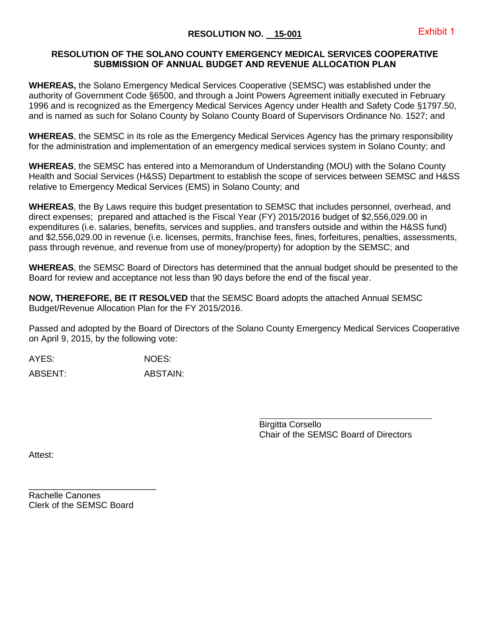#### **RESOLUTION OF THE SOLANO COUNTY EMERGENCY MEDICAL SERVICES COOPERATIVE SUBMISSION OF ANNUAL BUDGET AND REVENUE ALLOCATION PLAN**

**WHEREAS,** the Solano Emergency Medical Services Cooperative (SEMSC) was established under the authority of Government Code §6500, and through a Joint Powers Agreement initially executed in February 1996 and is recognized as the Emergency Medical Services Agency under Health and Safety Code §1797.50, and is named as such for Solano County by Solano County Board of Supervisors Ordinance No. 1527; and

**WHEREAS**, the SEMSC in its role as the Emergency Medical Services Agency has the primary responsibility for the administration and implementation of an emergency medical services system in Solano County; and

**WHEREAS**, the SEMSC has entered into a Memorandum of Understanding (MOU) with the Solano County Health and Social Services (H&SS) Department to establish the scope of services between SEMSC and H&SS relative to Emergency Medical Services (EMS) in Solano County; and

**WHEREAS**, the By Laws require this budget presentation to SEMSC that includes personnel, overhead, and direct expenses; prepared and attached is the Fiscal Year (FY) 2015/2016 budget of \$2,556,029.00 in expenditures (i.e. salaries, benefits, services and supplies, and transfers outside and within the H&SS fund) and \$2,556,029.00 in revenue (i.e. licenses, permits, franchise fees, fines, forfeitures, penalties, assessments, pass through revenue, and revenue from use of money/property) for adoption by the SEMSC; and

**WHEREAS**, the SEMSC Board of Directors has determined that the annual budget should be presented to the Board for review and acceptance not less than 90 days before the end of the fiscal year.

**NOW, THEREFORE, BE IT RESOLVED** that the SEMSC Board adopts the attached Annual SEMSC Budget/Revenue Allocation Plan for the FY 2015/2016.

Passed and adopted by the Board of Directors of the Solano County Emergency Medical Services Cooperative on April 9, 2015, by the following vote:

AYES: NOES:

ABSENT: ABSTAIN:

Birgitta Corsello Chair of the SEMSC Board of Directors

Attest:

\_\_\_\_\_\_\_\_\_\_\_\_\_\_\_\_\_\_\_\_\_\_\_\_\_\_ Rachelle Canones Clerk of the SEMSC Board